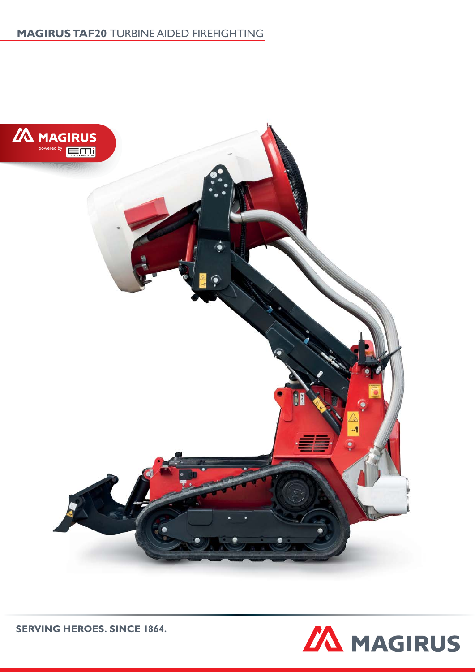# **MAGIRUS TAF20** TURBINE AIDED FIREFIGHTING



**SERVING HEROES. SINCE 1864.**